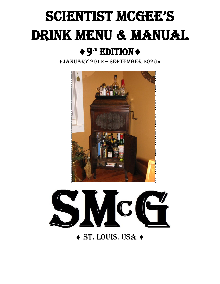# SCIENTIST MCGEE'S DRINK MENU & MANUAL

# $\triangleleft 9^{\mathrm{th}}$  EDITION  $\triangleleft$

 $\triangleleft$ JANUARY 2012 – SEPTEMBER 2020 $\triangleleft$ 





 $\triangle$  ST. LOUIS, USA  $\triangle$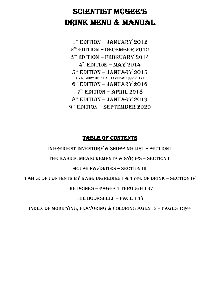### SCIENTIST MCGEE'S Drink Menu & Manual

1<sup>st</sup> EDITION - JANUARY 2012 2<sup>nd</sup> EDITION – DECEMBER 2012  $3<sup>8D</sup>$  EDITION – FEBRUARY 2014  $4^{\text{th}}$  EDITION – MAY 2014  $5^{\text{\tiny{TH}}}$  EDITION – JANUARY 2015 (In memory of Oscar Taveras 1992-2014) 6 th Edition – January 2016  $7<sup>th</sup>$  EDITION – APRIL 2018  $8<sup>th</sup>$  EDITION – JANUARY 2019 9TH EDITION – SEPTEMBER 2020

#### Table of Contents

Ingredient Inventory & Shopping List – Section I

The Basics: Measurements & Syrups – Section II

House Favorites – SEction III

Table of Contents by Base Ingredient & Type of Drink – Section IV

The Drinks – Pages 1 through 137

The Bookshelf – Page 138

Index of Modifying, Flavoring & Coloring Agents – Pages 139+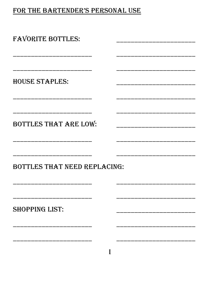#### FOR THE BARTENDER'S PERSONAL USE

| <b>FAVORITE BOTTLES:</b>     |  |
|------------------------------|--|
| <b>HOUSE STAPLES:</b>        |  |
| <b>BOTTLES THAT ARE LOW:</b> |  |
| BOTTLES THAT NEED REPLACING: |  |
| <b>SHOPPING LIST:</b>        |  |
|                              |  |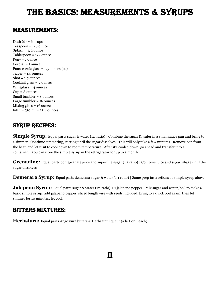# The Basics: measurements & syrups

#### Measurements:

Dash  $(d) = 6$  drops T[e](http://scientistmcgee.files.wordpress.com/2011/08/img00728.jpg)aspoon =  $1/8$  ounce  $Splash = 1/2$  ounce Tablespoon =  $1/2$  ounce Pony = 1 ounce Cordial = 1 ounce Pousse-cafe glass  $= 1.5$  ounces (oz)  $Jigger = 1.5 ounces$  $\text{shot} = 1.5 \text{ ounces}$ Cocktail glass = 2 ounces Wineglass  $=$  4 ounces  $Cup = 8$  ounces Small tumbler = 8 ounces Large tumbler = 16 ounces Mixing glass = 16 ounces  $Fifth = 750 ml = 25.4 ounces$ 

#### Syrup recipes:

**Simple Syrup:** Equal parts sugar & water (1:1 ratio) | Combine the sugar & water in a small sauce pan and bring to a simmer. Continue simmering, stirring until the sugar dissolves. This will only take a few minutes. Remove pan from the heat, and let it sit to cool down to room temperature. After it's cooled down, go ahead and transfer it to a container. You can store the simple syrup in the refrigerator for up to a month.

**Grenadine:** Equal parts pomegranate juice and superfine sugar (1:1 ratio) | Combine juice and sugar, shake until the sugar dissolves

**Demerara Syrup:** Equal parts demerara sugar & water (1:1 ratio) | Same prep instructions as simple syrup above.

**Jalapeno Syrup:** Equal parts sugar & water (1:1 ratio) + 1 jalapeno pepper | Mix sugar and water, boil to make a basic simple syrup; add jalapeno pepper, sliced lengthwise with seeds included; bring to a quick boil again, then let simmer for 10 minutes; let cool.

#### Bitters Mixtures:

**Herbstura:** Equal parts Angostura bitters & Herbsaint liqueur (à la Don Beach)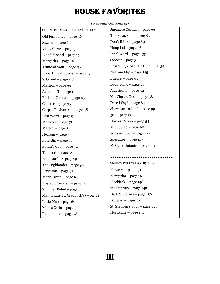# house Favorites

 $\bullet$  IN NO PARTICULAR ORDER  $\bullet$ 

| <b>SCIENTIST MCGEE'S FAVORITES:</b> | Japanese Cocktail - page 63         |
|-------------------------------------|-------------------------------------|
| Old Fashioned – page 36             | The Ragazzino $-$ page 85           |
| Sazerac – page 6                    | Don't Blink - page 89               |
| Vieux Carre $-$ page 31             | Hoop La! - page 56                  |
| Blood & Sand $-$ page 15            | Final Ward - page 135               |
| Margarita – page 16                 | Sidecar $-$ page 3                  |
| Trinidad Sour - page 56             | East Village Athletic Club - pg. 39 |
| Robert Treat Special - page 17      | Negroni Flip - page 125             |
| S. Grand $-$ page 118               | Eclipse – page $43$                 |
| Martica – page 99                   | Loop Tonic - page 28                |
| Aviation II - page 1                | Americano – page 32                 |
| Billiken Cocktail – page 63         | Mr. Clark's Cane - page 58          |
| $Cloister - page 35$                | Dare I Say? - page 84               |
| Corpse Reviver $#2$ – page 48       | Show Me Cocktail – page 99          |
| Last Word – page 9                  | $501 - page 60$                     |
| Martinez $-$ page $71$              | Harvest Moon - page 54              |
| Martini – page 11                   | Mint Julep $-$ page 90              |
| Negroni – page 5                    | Whiskey Sour – page 122             |
| Pink $Gin - page 70$                | Spectator - page 119                |
| Pimm's $Cup$ – page 72              | McGee's Daiquiri - page 151         |
| The 109 <sup>th</sup> – page 79     |                                     |
| Boulevardier-page 79                |                                     |
| The Highlander - page 96            | <b>SMCG'S WIFE'S FAVORITES:</b>     |
| Ferguson $-$ page 97                | El Burro $-$ page 131               |
| Mark Twain – page 94                | Margarita - page 16                 |
| Roycroft Cocktail - page 134        | Blackjack - page 148                |
| Summer Relief - page 61             | 21st Century - page 149             |
| Manhattan (H. Craddock's) - pg. 21  | Dark & Stormy - page 150            |
| Little Man $-$ page 69              | Daiquiri - page 20                  |
| Monte Carlo - page 30               | St. Stephen's Sour - page 153       |
| Reanimator – page $78$              | Hurricane - page 151                |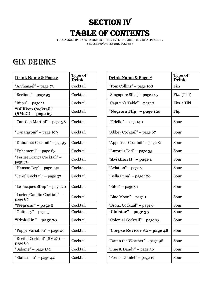# **SECTION IV TABLE OF CONTENTS**

Organized by Base ingredient, then type of drink, then by alphabet House Favorites are bolded

#### **GIN DRINKS**

| Drink Name & Page #                       | <b>Type of</b><br><b>Drink</b> | Drink Name & Page #            | <b>Type</b><br><u>Drii</u> |
|-------------------------------------------|--------------------------------|--------------------------------|----------------------------|
| "Archangel" - page 73                     | Cocktail                       | "Tom Collins" – page 108       | Fizz                       |
| "Berlioni" – page 93                      | Cocktail                       | "Singapore Sling" - page 145   | Fizz                       |
| "Bijou" – page 11                         | Cocktail                       | "Captain's Table" – page 7     | Fizz                       |
| "Billiken Cocktail"<br>$(SMcG)$ – page 63 | Cocktail                       | "Negroni Flip" – page 125      | Flip                       |
| "Can-Can Martini" – page 38               | Cocktail                       | "Fidelio" - page 140           | Sour                       |
| "Cynargroni" - page 109                   | Cocktail                       | "Abbey Cocktail" - page 67     | Sour                       |
| "Dubonnet Cocktail" – pg. 95              | Cocktail                       | "Appetiser Cocktail" - page 81 | Sour                       |
| "Ephemeral" - page 83                     | Cocktail                       | "Aurora's Bed" – page 35       | Sour                       |
| "Fernet Branca Cocktail" -<br>page 70     | Cocktail                       | "Aviation II" - page 1         | Sour                       |
| "Hanson Dry" – page 130                   | Cocktail                       | "Aviation" - page 7            | Sour                       |
| "Jewel Cocktail" - page 37                | Cocktail                       | "Bella Luna" - page 100        | Sour                       |
| "Le Jacques Strap" - page 20              | Cocktail                       | "Biter" - page 91              | Sour                       |
| "Lucien Gaudin Cocktail" -<br>page 87     | Cocktail                       | "Blue Moon" – page 1           | Sour                       |
| "Negroni" – page 5                        | Cocktail                       | "Bronx Cocktail" - page 6      | Sour                       |
| "Obituary" – page 5                       | Cocktail                       | "Cloister" - page 35           | Sour                       |
| "Pink Gin" $-$ page $70$                  | Cocktail                       | "Colonial Cocktail" – page 23  | Sour                       |
| "Poppy Variation" - page 26               | Cocktail                       | "Corpse Reviver $#2$ – page 48 | Sour                       |
| "Recital Cocktail" (SMcG) -<br>page 89    | Cocktail                       | "Damn the Weather" – page 98   | Sour                       |
| "Salome" – page 132                       | Cocktail                       | "Fine & Dandy" – page $36$     | Sour                       |
| "Statesman" – page 44                     | Cocktail                       | "French Gimlet" – page 19      | Sour                       |

| Drink Name & Page #                       | <b>Type of</b><br><b>Drink</b> | Drink Name & Page #            | <b>Type of</b><br><b>Drink</b> |
|-------------------------------------------|--------------------------------|--------------------------------|--------------------------------|
| "Archangel" - page 73                     | Cocktail                       | "Tom Collins" – page 108       | Fizz                           |
| "Berlioni" – page 93                      | Cocktail                       | "Singapore Sling" - page 145   | Fizz (Tiki)                    |
| "Bijou" - page 11                         | Cocktail                       | "Captain's Table" – page 7     | Fizz / Tiki                    |
| "Billiken Cocktail"<br>$(SMcG)$ – page 63 | Cocktail                       | "Negroni Flip" – page 125      | Flip                           |
| "Can-Can Martini" – page 38               | Cocktail                       | "Fidelio" - page 140           | Sour                           |
| "Cynargroni" – page 109                   | Cocktail                       | "Abbey Cocktail" – page 67     | Sour                           |
| "Dubonnet Cocktail" - pg. 95              | Cocktail                       | "Appetiser Cocktail" - page 81 | Sour                           |
| "Ephemeral" - page 83                     | Cocktail                       | "Aurora's Bed" - page 35       | Sour                           |
| "Fernet Branca Cocktail" -<br>page 70     | Cocktail                       | "Aviation II" – page 1         | Sour                           |
| "Hanson Dry" – page 130                   | Cocktail                       | "Aviation" – page 7            | Sour                           |
| "Jewel Cocktail" – page 37                | Cocktail                       | "Bella Luna" – page 100        | Sour                           |
| "Le Jacques Strap" – page 20              | Cocktail                       | "Biter" - page 91              | Sour                           |
| "Lucien Gaudin Cocktail" -<br>page 87     | Cocktail                       | "Blue Moon" - page 1           | Sour                           |
| "Negroni" – page 5                        | Cocktail                       | "Bronx Cocktail" - page 6      | Sour                           |
| "Obituary" – page 5                       | Cocktail                       | "Cloister" - page 35           | Sour                           |
| "Pink Gin" – page 70                      | Cocktail                       | "Colonial Cocktail" - page 23  | Sour                           |
| "Poppy Variation" – page 26               | Cocktail                       | "Corpse Reviver $#2$ – page 48 | Sour                           |
| "Recital Cocktail" (SMcG) -<br>page 89    | Cocktail                       | "Damn the Weather" – page 98   | Sour                           |
| "Salome" - page 132                       | Cocktail                       | "Fine & Dandy" – page $36$     | Sour                           |
| "Statesman" – page 44                     | Cocktail                       | "French Gimlet" – page 19      | Sour                           |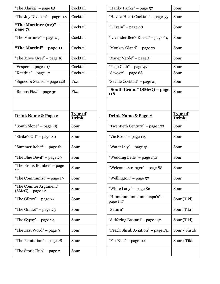| "The Alaska" - page 85                       | Cocktail                                      | "Hanky Panky" - page 57               | Sour                |
|----------------------------------------------|-----------------------------------------------|---------------------------------------|---------------------|
| "The Joy Division" – page 118                | Cocktail<br>"Have a Heart Cocktail" – page 55 |                                       | Sour                |
| "The Martinez $(*2)"$ –<br>page 71           | Cocktail                                      | "L Train" - page 98                   | Sour                |
| "The Martinez" – page 25                     | Cocktail                                      | "Lavender Bee's Knees" – page 64      | Sour                |
| "The Martini" - page 11                      | Cocktail                                      | "Monkey Gland" – page 27              | Sour                |
| "The Move Over" – page 16                    | Cocktail                                      | "Mujer Verde" - page 34               | Sour                |
| "Vesper" - page 107                          | Cocktail                                      | "Pegu Club" - page 47                 | Sour                |
| "Xanthia" – page 42                          | Cocktail                                      | "Sawyer" - page 68                    | Sour                |
| "Signed & Sealed" - page 148                 | Fizz                                          | "Seville Cocktail" – page 25          | Sour                |
| "Ramos Fizz" - page 32                       | Fizz                                          | "South Grand" (SMcG) – page<br>118    | Sour                |
|                                              |                                               |                                       |                     |
| Drink Name & Page #                          | <b>Type of</b><br><b>Drink</b>                | Drink Name & Page #                   | <b>Type</b><br>Drin |
| "South Slope" - page 49                      | Sour                                          | "Twentieth Century" – page 122        | Sour                |
| "Strike's Off" - page 80                     | Sour                                          | "Vie Rose" - page 119                 | Sour                |
| "Summer Relief" – page 61                    | Sour                                          | "Water Lily" - page 51                | Sour                |
| "The Blue Devil" – page 29                   | Sour                                          | "Wedding Belle" - page 130            | Sour                |
| "The Bronx Bomber" - page<br>12              | Sour                                          | "Welcome Stranger" - page 88          | Sour                |
| "The Communist" – page 19                    | Sour                                          | "Wellington" – page 57                | Sour                |
| "The Counter Argument"<br>$(SMcG)$ – page 12 | Sour                                          | "White Lady" - page 86                | Sour                |
| "The Gilroy" – page 22                       | Sour                                          | "Humuhumunukunukuapa'a" -<br>page 147 | Sour                |
| "The Gimlet" $-$ page 23                     | Sour                                          | "Saturn"                              | Sour                |
| "The Gypsy" $-$ page 24                      | Sour                                          | "Suffering Bastard" - page 142        | Sour                |
| "The Last Word" – page 9                     | Sour                                          | "Peach Shrub Aviation" – page 131     | Sour                |
| "The Plantation" – page 28                   | Sour                                          | "Far East" – page 114                 | Sour                |
| "The Stork Club" – page 2                    | Sour                                          |                                       |                     |

| "The Alaska" - page 85                       | Cocktail                       | "Hanky Panky" - page 57               | Sour                           |
|----------------------------------------------|--------------------------------|---------------------------------------|--------------------------------|
| "The Joy Division" – page 118                | Cocktail                       | "Have a Heart Cocktail" - page 55     | Sour                           |
| "The Martinez $(\#2)$ " –<br>page 71         | Cocktail                       | "L Train" - page 98                   | Sour                           |
| "The Martinez" – page 25                     | Cocktail                       | "Lavender Bee's Knees" – page 64      | Sour                           |
| "The Martini" – page 11                      | Cocktail                       | "Monkey Gland" – page 27              | Sour                           |
| "The Move Over" – page 16                    | Cocktail                       | "Mujer Verde" – page 34               | Sour                           |
| "Vesper" - page 107                          | Cocktail                       | "Pegu Club" - page 47                 | Sour                           |
| "Xanthia" – page 42                          | Cocktail                       | "Sawyer" - page 68                    | Sour                           |
| "Signed & Sealed" - page 148                 | Fizz                           | "Seville Cocktail" – page 25          | Sour                           |
| "Ramos Fizz" - page 32                       | Fizz                           | "South Grand" (SMcG) – page<br>118    | Sour                           |
|                                              |                                |                                       |                                |
| Drink Name & Page #                          | <b>Type of</b><br><b>Drink</b> | Drink Name & Page #                   | <b>Type of</b><br><b>Drink</b> |
| "South Slope" - page 49                      | Sour                           | "Twentieth Century" - page 122        | Sour                           |
| "Strike's Off" – page 80                     | Sour                           | "Vie Rose" – page 119                 | Sour                           |
| "Summer Relief" - page 61                    | Sour                           | "Water Lily" – page $51$              | Sour                           |
| "The Blue Devil" – page 29                   | Sour                           | "Wedding Belle" - page 130            | Sour                           |
| "The Bronx Bomber" - page<br>12              | Sour                           | "Welcome Stranger" - page 88          | Sour                           |
| "The Communist" – page 19                    | Sour                           | "Wellington" – page 57                | Sour                           |
| "The Counter Argument"<br>$(SMcG)$ – page 12 | Sour                           | "White Lady" – page 86                | Sour                           |
| "The Gilroy" – page 22                       | Sour                           | "Humuhumunukunukuapa'a" -<br>page 147 | Sour (Tiki)                    |
| "The Gimlet" $-$ page 23                     | Sour                           | "Saturn"                              | Sour (Tiki)                    |
| "The Gypsy" - page 24                        | Sour                           | "Suffering Bastard" - page 142        | Sour (Tiki)                    |
| "The Last Word" – page 9                     | Sour                           | "Peach Shrub Aviation" - page 131     | Sour / Shrub                   |
| "The Plantation" – page 28                   | Sour                           | "Far East" – page 114                 | Sour / Tiki                    |
| "The Stork Club" – page 2                    | Sour                           |                                       |                                |
|                                              |                                |                                       |                                |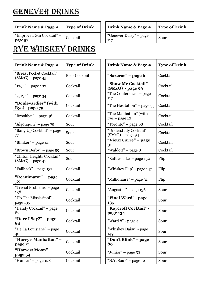# GENEVER DRINKS

| Drink Name & Page # | <b>Type of</b> |
|---------------------|----------------|
|                     |                |

# Rye Whiskey DRINKS

| Drink Name & Page #                              | <b>Type of Drink</b> | Drink Name & Page #                         | <b>Type of Drink</b> |
|--------------------------------------------------|----------------------|---------------------------------------------|----------------------|
| "Breast Pocket Cocktail"<br>$(SMcG)$ – page 45   | Beer Cocktail        | "Sazerac" - page 6                          | Cocktail             |
| " $1794$ " – page 102                            | Cocktail             | "Show Me Cocktail"<br>(SMcG) - page 99      | Cocktail             |
| " $3, 2, 1$ " – page 34                          | Cocktail             | "The Conference" – page<br>117              | Cocktail             |
| "Boulevardier" (with<br>Rye) – page 79           | Cocktail             | "The Hesitation" – page 55                  | Cocktail             |
| "Brooklyn" – page 46                             | Cocktail             | "The Manhattan" (with<br>rye) – page 10     | Cocktail             |
| "Algonquin" - page 75                            | Sour                 | "Toronto" – page 68                         | Cocktail             |
| "Bang Up Cocktail" - page<br>77                  | Sour                 | "Understudy Cocktail"<br>$(SMcG)$ – page 94 | Cocktail             |
| "Blinker" – page 41                              | Sour                 | "Vieux Carre" - page<br>31                  | Cocktail             |
| "Brown Derby" - page 59                          | Sour                 | "Waldorf" - page 8                          | Cocktail             |
| "Clifton Heights Cocktail"<br>$(SMcG)$ – page 42 | Sour                 | "Rattlesnake" - page 152                    | Flip                 |
| "Fallback" – page 137                            | Cocktail             | "Whiskey Flip" - page 147                   | Flip                 |
| "Reanimator" - page<br>78                        | Cocktail             | "Millionaire" – page 31                     | Flip                 |
| "Trivial Problems" - page<br>138                 | Cocktail             | "Augustus" - page 136                       | Sour                 |
| "Up The Mississippi" -<br>page 135               | Cocktail             | "Final Ward" - page<br>135                  | Sour                 |
| "Dandy Cocktail" - page<br>82                    | Cocktail             | "Roycroft Cocktail" -<br>page 134           | Sour                 |
| "Dare I Say?" - page<br>84                       | Cocktail             | "Ward 8" - page 4                           | Sour                 |
| "De La Louisiane" – page<br>40                   | Cocktail             | "Whiskey Daisy" - page<br>149               | Sour                 |
| "Harry's Manhattan" -<br>page 21                 | Cocktail             | "Don't Blink" – page<br>89                  | Sour                 |
| "Harvest Moon" -<br>page 54                      | Cocktail             | "Junior" – page 53                          | Sour                 |
| "Hunter" - page 128                              | Cocktail             | "N.Y. Sour" – page $121$                    | Sour                 |

| Drink Name & Page #                  | <b>Type of Drink</b> | Drink Name & Page #           | <b>Type of Drink</b> |
|--------------------------------------|----------------------|-------------------------------|----------------------|
| "Improved Gin Cocktail" –<br>page 52 | Cocktail             | "Genever Daisy" – page<br>117 | Sour                 |

| <b>Type of Drink</b> | Drink Name & Page #                         | <b>Type of Drink</b> |
|----------------------|---------------------------------------------|----------------------|
| <b>Beer Cocktail</b> | "Sazerac" – page 6                          | Cocktail             |
| Cocktail             | "Show Me Cocktail"<br>(SMcG) - page 99      | Cocktail             |
| Cocktail             | "The Conference" – page<br>117              | Cocktail             |
| Cocktail             | "The Hesitation" – page 55                  | Cocktail             |
| Cocktail             | "The Manhattan" (with<br>rye) – page 10     | Cocktail             |
| Sour                 | "Toronto" - page 68                         | Cocktail             |
| Sour                 | "Understudy Cocktail"<br>$(SMcG)$ – page 94 | Cocktail             |
| Sour                 | "Vieux Carre" – page<br>31                  | Cocktail             |
| Sour                 | "Waldorf" – page 8                          | Cocktail             |
| Sour                 | "Rattlesnake" - page 152                    | Flip                 |
| Cocktail             | "Whiskey Flip" - page 147                   | Flip                 |
| Cocktail             | "Millionaire" – page 31                     | Flip                 |
| Cocktail             | "Augustus" - page 136                       | Sour                 |
| Cocktail             | "Final Ward" - page<br>135                  | Sour                 |
| Cocktail             | "Roycroft Cocktail" -<br>page 134           | Sour                 |
| Cocktail             | "Ward 8" - page 4                           | Sour                 |
| Cocktail             | "Whiskey Daisy" - page<br>149               | Sour                 |
| Cocktail             | "Don't Blink" – page<br>89                  | Sour                 |
| Cocktail             | "Junior" – page 53                          | Sour                 |
| Cocktail             | "N.Y. Sour" $-$ page 121                    | Sour                 |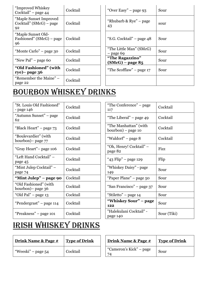| "Improved Whiskey<br>Cocktail" – page 44                  | Cocktail | "Over Easy" – page 93                   | Sour |
|-----------------------------------------------------------|----------|-----------------------------------------|------|
| "Maple Sunset Improved<br>$Cocktail''(SMcG) - page$<br>92 | Cocktail | "Rhubarb & Rye" – page<br>43            | sour |
| "Maple Sunset Old-<br>Fashioned" (SMcG) – page<br>96      | Cocktail | "S.G. Cocktail" – page 48               | Sour |
| "Monte Carlo" – page 30                                   | Cocktail | "The Little Man" (SMcG)<br>$-$ page 69  | Sour |
| "New Pal" – page 60                                       | Cocktail | "The Ragazzino"<br>$(SMcG)$ – page $85$ | Sour |
| "Old Fashioned" (with<br>rye) – page $36$                 | Cocktail | "The Scofflaw" – page 17                | Sour |
| "Remember the Maine" –<br>page 22                         | Cocktail |                                         |      |

# Bourbon Whiskey Drinks

| "St. Louis Old Fashioned"<br>- page 146     | Cocktail | "The Conference" – page<br>117              | Cocktail |
|---------------------------------------------|----------|---------------------------------------------|----------|
| "Autumn Sunset" – page<br>62                | Cocktail | "The Liberal" – page 49                     | Cocktail |
| "Black Heart" – page 73                     | Cocktail | "The Manhattan" (with<br>bourbon) – page 10 | Cocktail |
| "Boulevardier" (with<br>bourbon) – page 77  | Cocktail | "Waldorf" – page 8                          | Cocktail |
| "Gray Heart" – page 106                     | Cocktail | "Oh, Henry! Cocktail" -<br>page 82          | Fizz     |
| "Left Hand Cocktail" –<br>page 45           | Cocktail | "43 Flip" – page 129                        | Flip     |
| "Mint Julep Cocktail" –<br>page 74          | Cocktail | "Whiskey Daisy" - page<br>149               | Sour     |
| "Mint Julep" – page 90                      | Cocktail | "Paper Plane" - page 50                     | Sour     |
| "Old Fashioned" (with<br>bourbon) – page 36 | Cocktail | "San Francisco" – page 37                   | Sour     |
| "Old Pal" – page 13                         | Cocktail | "Stiletto" - page 14                        | Sour     |
| "Pendergrast" - page 114                    | Cocktail | "Whiskey Sour" – page<br>122                | Sour     |
| "Preakness" - page 101                      | Cocktail | "Halekulani Cocktail" -<br>page 140         | Sour (Ti |

| Cocktail | "The Conference" - page<br>117              | Cocktail    |
|----------|---------------------------------------------|-------------|
| Cocktail | "The Liberal" – page 49                     | Cocktail    |
| Cocktail | "The Manhattan" (with<br>bourbon) – page 10 | Cocktail    |
| Cocktail | "Waldorf" – page 8                          | Cocktail    |
| Cocktail | "Oh, Henry! Cocktail" -<br>page 82          | Fizz        |
| Cocktail | "43 Flip" – page 129                        | Flip        |
| Cocktail | "Whiskey Daisy" - page<br>149               | Sour        |
| Cocktail | "Paper Plane" – page 50                     | Sour        |
| Cocktail | "San Francisco" – page 37                   | Sour        |
| Cocktail | "Stiletto" – page 14                        | Sour        |
| Cocktail | "Whiskey Sour" - page<br>122                | Sour        |
| Cocktail | "Halekulani Cocktail" -<br>page 140         | Sour (Tiki) |

# Irish Whiskey Drinks

| Drink Name & Page # | <b>Type of Drink</b> | <b>Drink Name &amp; Page #</b> | <b>Type of Drink</b> |
|---------------------|----------------------|--------------------------------|----------------------|
| "Weeski" – page 54  | Cocktail             | "Cameron's Kick" – page        | Sour                 |

| Drink Name & Page #     | <b>Type of Drink</b> |
|-------------------------|----------------------|
| "Cameron's Kick" – page | Sour                 |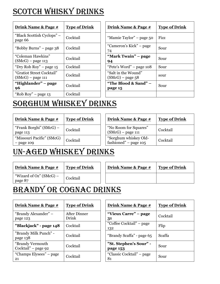# SCOTCH WHISKY DRINKS

| Drink Name & Page #                              | <b>Type of Drink</b> | Drink Name & Page #                       | <b>Type of Drink</b> |
|--------------------------------------------------|----------------------|-------------------------------------------|----------------------|
| "Black Scottish Cyclops" –<br>page 66            | Cocktail             | "Mamie Taylor" – page 50                  | Fizz                 |
| "Bobby Burns" – page 38                          | Cocktail             | "Cameron's Kick" – page<br>74             | Sour                 |
| "Coleman Hawkins"<br>$(SMcG)$ – page 113         | Cocktail             | "Mark Twain" – page<br>94                 | Sour                 |
| "Dry Rob Roy" – page 15                          | Cocktail             | "Pete's Word" - page 108                  | Sour                 |
| "Gratiot Street Cocktail"<br>$(SMcG)$ – page 111 | Cocktail             | "Salt in the Wound"<br>$(SMcG)$ – page 58 | sour                 |
| "Highlander" – page<br>96                        | Cocktail             | "The Blood & Sand" -<br>page 15           | Sour                 |
| "Rob Roy" – page $13$                            | Cocktail             |                                           |                      |

| <u>Type of Drink</u> | <u>Drink Name &amp; Page #</u>            | <b>Type of Drink</b> |
|----------------------|-------------------------------------------|----------------------|
| Cocktail             | "Mamie Taylor" – page 50                  | <b>Fizz</b>          |
| Cocktail             | "Cameron's Kick" – page<br>74             | Sour                 |
| Cocktail             | "Mark Twain" – page<br>94                 | Sour                 |
| Cocktail             | "Pete's Word" – page 108                  | Sour                 |
| Cocktail             | "Salt in the Wound"<br>$(SMcG)$ – page 58 | sour                 |
| Cocktail             | "The Blood & Sand" –<br>page 15           | Sour                 |
| Cocktail             |                                           |                      |

# Sorghum Whiskey drinks

| Drink Name & Page #                       | <b>Type of Drink</b> | Drink Name & Page #                              | <b>Type of Drink</b> |
|-------------------------------------------|----------------------|--------------------------------------------------|----------------------|
| "Frank Borghi" (SMcG) –<br>page 113       | Cocktail             | "No Room for Squares"<br>$(SMcG)$ – page 111     | Cocktail             |
| "Missouri Pacific" (SMcG)<br>$-$ page 109 | Cocktail             | "Sorghum whiskey Old-<br>fashioned" – page $105$ | Cocktail             |

### Un-aged Whiskey Drinks

| <u>Drink Name &amp; Page #</u>       | <b>Type of Drink</b> | <b>Drink Name &amp; Page #</b> | <b>Type of Drink</b> |
|--------------------------------------|----------------------|--------------------------------|----------------------|
| "Wizard of Oz" $(SMcG)$ –<br>page 87 | Cocktail             |                                |                      |
|                                      |                      |                                |                      |

### Brandy or Cognac DRINKS

| Drink Name & Page #                     | <b>Type of Drink</b>  | Drink Name & Page #                | <b>Type of Drink</b> |
|-----------------------------------------|-----------------------|------------------------------------|----------------------|
| "Brandy Alexander" –<br>page 123        | After Dinner<br>Drink | "Vieux Carre" – page<br>31         | Cocktail             |
| "Blackjack" - page 148                  | Cocktail              | "Coffee Cocktail" – page<br>132    | Flip                 |
| "Brandy Milk Punch" -<br>page 138       | Cocktail              | "Brandy Scaffa" - page 65          | Scaffa               |
| "Brandy Vermouth<br>Cocktail" – page 92 | Cocktail              | "St. Stephen's Sour" -<br>page 153 | Sour                 |
| "Champs Elysees" – page<br>21           | Cocktail              | "Classic Cocktail" – page<br>81    | Sour                 |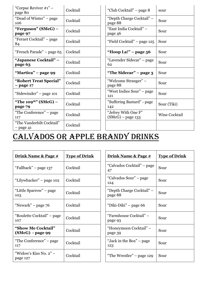| "Corpse Reviver $\#1"$ –<br>page 80         | Cocktail | "Club Cocktail" – page 8                   | sour |
|---------------------------------------------|----------|--------------------------------------------|------|
| "Dead of Winter" – page<br>106              | Cocktail | "Depth Charge Cocktail" –<br>page 88       | Sour |
| "Ferguson" (SMcG) –<br>page 97              | Cocktail | "East India Cocktail" –<br>page 46         | Sour |
| "Fernet Cocktail" – page<br>84              | Cocktail | "Field Cocktail" - page 125                | Sour |
| "French Parade" – page 65                   | Cocktail | "Hoop La!" - page 56                       | Sour |
| "Japanese Cocktail" –<br>page 63            | Cocktail | "Lavender Sidecar" – page<br>62            | Sour |
| "Martica" – page 99                         | Cocktail | "The Sidecar" – page $3$                   | Sour |
| "Robert Treat Special"<br>$-$ page 17       | Cocktail | "Welcome Stranger" –<br>page 88            | Sour |
| "Sidewinder" - page 101                     | Cocktail | "West Indies Sour" - page<br>121           | Sour |
| "The 109 <sup>th"</sup> (SMcG) -<br>page 79 | Cocktail | "Suffering Bastard" - page<br>142          | Sour |
| "The Conference" - page<br>117              | Cocktail | "Jefrey With One F"<br>$(SMcG)$ – page 133 | Wine |
| "The Vanderbilt Cocktail"<br>$-$ page 41    | Cocktail |                                            |      |

| Cocktail | "Club Cocktail" – page 8                   | sour          |
|----------|--------------------------------------------|---------------|
| Cocktail | "Depth Charge Cocktail" –<br>page 88       | Sour          |
| Cocktail | "East India Cocktail" –<br>page 46         | Sour          |
| Cocktail | "Field Cocktail" – page 125                | Sour          |
| Cocktail | "Hoop La!" – page 56                       | Sour          |
| Cocktail | "Lavender Sidecar" – page<br>62            | Sour          |
| Cocktail | "The Sidecar" – page 3                     | Sour          |
| Cocktail | "Welcome Stranger" –<br>page 88            | Sour          |
| Cocktail | "West Indies Sour" – page<br>121           | Sour          |
| Cocktail | "Suffering Bastard" - page<br>142          | Sour (Tiki)   |
| Cocktail | "Jefrey With One F"<br>$(SMcG)$ – page 133 | Wine Cocktail |
| Cocktail |                                            |               |

### Calvados or Apple Brandy DRINKS

| <u>Drink Name &amp; Page #</u>                | <b>Type of Drink</b> | <u>Drink Name &amp; Page #</u>       | <b>Type of Drink</b> |
|-----------------------------------------------|----------------------|--------------------------------------|----------------------|
| "Fallback" – page 137                         | Cocktail             | "Calvados Cocktail" - page<br>47     | Sour                 |
| "Lilywhacker" – page 102                      | Cocktail             | "Calvados Sour" – page<br>124        | Sour                 |
| "Little Sparrow" – page<br>103                | Cocktail             | "Depth Charge Cocktail" –<br>page 88 | Sour                 |
| "Newark" – page $76$                          | Cocktail             | "Diki-Diki" – page 66                | Sour                 |
| "Roulette Cocktail" – page<br>107             | Cocktail             | "Farmhouse Cocktail" –<br>page 93    | Sour                 |
| <b>"Show Me Cocktail"</b><br>(SMcG) - page 99 | Cocktail             | "Honeymoon Cocktail" –<br>page 39    | Sour                 |
| "The Conference" – page<br>117                | Cocktail             | "Jack in the Box" – page<br>123      | Sour                 |
| "Widow's Kiss No. $2"$ –<br>page 127          | Cocktail             | "The Wrestler" – page 129            | Sour                 |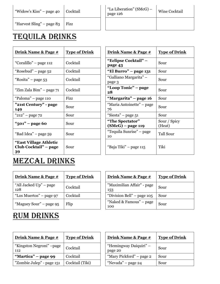| "Widow's Kiss" – page 40  | Cocktail | "La Liberation" (SMcG) –<br>page 126 | Wine Cocktail |
|---------------------------|----------|--------------------------------------|---------------|
| "Harvest Sling" – page 83 | Fizz     |                                      |               |

#### Tequila DRINKS

| <u>Drink Name &amp; Page #</u>                        | <b>Type of Drink</b> | <u>Drink Name &amp; Page #</u>       | <u>Type of Drink</u>   |
|-------------------------------------------------------|----------------------|--------------------------------------|------------------------|
| "Coralillo" – page 112                                | Cocktail             | "Eclipse Cocktail" –<br>page 43      | Sour                   |
| "Rosebud" – page 52                                   | Cocktail             | "El Burro" – page 131                | Sour                   |
| "Rosita" – page 53                                    | Cocktail             | "Galliano Margarita" –<br>page 3     | Sour                   |
| "Zim Zala Bim" - page 71                              | Cocktail             | "Loop Tonic" – page<br>28            | Sour                   |
| "Paloma" – page 110                                   | Fizz                 | "Margarita" – page 16                | Sour                   |
| "21st Century" - page<br>149                          | Sour                 | "Maria Antoinette" – page<br>76      | Sour                   |
| " $212"$ – page 72                                    | Sour                 | "Siesta" – page 51                   | Sour                   |
| "501" – page 60                                       | Sour                 | "The Spectator"<br>(SMcG) – page 119 | Sour / Spicy<br>(Heat) |
| "Bad Idea" – page 59                                  | Sour                 | "Tequila Sunrise" – page<br>10       | <b>Tall Sour</b>       |
| "East Village Athletic<br>Club Cocktail" – page<br>39 | Sour                 | "Baja Tiki" – page 115               | Tiki                   |

| <u>Type of Drink</u> | <u>Drink Name &amp; Page #</u>         | <b>Type of Drink</b>   |
|----------------------|----------------------------------------|------------------------|
| Cocktail             | "Eclipse Cocktail" –<br>page 43        | Sour                   |
| Cocktail             | "El Burro" – page 131                  | Sour                   |
| Cocktail             | "Galliano Margarita" –<br>page 3       | Sour                   |
| Cocktail             | "Loop Tonic" – page<br>28              | Sour                   |
| Fizz                 | "Margarita" – page 16                  | Sour                   |
| Sour                 | "Maria Antoinette" – page<br>76        | Sour                   |
| Sour                 | "Siesta" – page 51                     | Sour                   |
| Sour                 | "The Spectator"<br>$(SMcG)$ – page 119 | Sour / Spicy<br>(Heat) |
| Sour                 | "Tequila Sunrise" – page<br>10         | <b>Tall Sour</b>       |
| Sour                 | "Baja Tiki" – page 115                 | Tiki                   |

#### Mezcal DRINKS

| <u>Drink Name &amp; Page #</u> | <b>Type of Drink</b> |
|--------------------------------|----------------------|
| "All Jacked Up" – page<br>128  | Cocktail             |
| "Los Muertos" – page 97        | Cocktail             |
| "Maguey Sour" – page 95        | Flip                 |

#### **Drink Name & Page # Type of Drink Drink Name & Page # Type of Drink** "Maximilian Affair" - page 153 Sour "Division Bell" – page  $105$  Sour "Naked & Famous" – page 100 Sour

#### Rum DRINKS

| Drink Name & Page #              | <b>Type of Drink</b> | <b>Drink Name &amp; Page #</b>    | <b>Type of Drink</b> |
|----------------------------------|----------------------|-----------------------------------|----------------------|
| "Kingston Negroni" – page<br>112 | Cocktail             | "Hemingway Daiquiri" –<br>page 20 | Sour                 |
| "Martica" – page 99              | Cocktail             | "Mary Pickford" – page 2          | Sour                 |
| "Zombie Julep" - page 151        | Cocktail (Tiki)      | "Nevada" – page 24                | Sour                 |

| <b>Type of Drink</b> | Drink Name & Page #               | <b>Type of Drink</b> |
|----------------------|-----------------------------------|----------------------|
| Cocktail             | "Hemingway Daiquiri" –<br>page 20 | Sour                 |
| Cocktail             | "Mary Pickford" – page 2          | Sour                 |
| Cocktail (Tiki)      | "Nevada" – page 24                | Sour                 |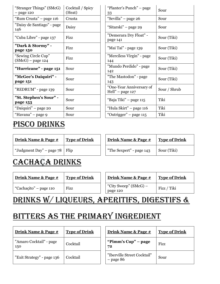| "Stranger Things" (SMcG)<br>$-$ page 120   | Cocktail / Spicy<br>(Heat) | "Planter's Punch" – page<br>33                                      | Sour |
|--------------------------------------------|----------------------------|---------------------------------------------------------------------|------|
| "Rum Crusta" - page 116                    | Crusta                     | "Sevilla" - page 26                                                 | Sour |
| "Daisy de Santiago" - page<br>146          | Daisy                      | "Sitarski" – page 29                                                | Sour |
| "Cuba Libre" - page 137                    | Fizz                       | "Demerara Dry Float" -<br>page 141                                  | Sour |
| "Dark & Stormy" -<br>page 150              | Fizz                       | "Mai Tai" - page 139                                                | Sour |
| "Sewing Circle Cup"<br>$(SMcG)$ – page 124 | Fizz                       | "Merciless Virgin" - page<br>144                                    | Sour |
| "Hurricane" - page 151                     | Sour                       | "Mundo Perdido" - page<br>142                                       | Sour |
| "McGee's Daiquiri" -<br>page 151           | Sour                       | "The Mastodon" - page<br>143                                        | Sour |
| "REDRUM" - page 139                        | Sour                       | "One-Year Anniversary of<br>$\text{Hell}^{\prime\prime}$ – page 127 | Sour |
| "St. Stephen's Sour" -<br>page 153         | Sour                       | "Baja Tiki" – page 115                                              | Tiki |
| "Daiquiri" – page 20                       | Sour                       | "Hula Skirt" - page 116                                             | Tiki |
| "Havana" - page 9                          | Sour                       | "Outrigger" – page 115                                              | Tiki |
|                                            |                            |                                                                     |      |

|  | PISCO DRINKS |
|--|--------------|
|  |              |

| Drink Name & Page #      | <b>Type of Drink</b> | Drink Name & Page #      | <b>Type of Drink</b> |
|--------------------------|----------------------|--------------------------|----------------------|
| "Judgment Day" – page 78 | $\vert$ Flip         | "The Sexpert" - page 143 | Sour (Tiki)          |

#### CACHAÇA DRINKS

| <u>Drink Name &amp; Page #</u> | <b>Type of Drink</b> | <u>Drink Name &amp; Page #</u>    | <b>Type of Drink</b> |
|--------------------------------|----------------------|-----------------------------------|----------------------|
| "Cachacito" – page 110         | Fizz                 | "City Sweep" (SMcG) –<br>page 120 | Fizz / Tiki          |

### Drinks w/ Liqueurs, Aperitifs, digestifs &

# Bitters as the primary ingredient

| <u>Drink Name &amp; Page #</u> | <b>Type of Drink</b> | Drink Name & Page #                        | <b>Type of Drink</b> |
|--------------------------------|----------------------|--------------------------------------------|----------------------|
| "Amaro Cocktail" - page<br>150 | Cocktail             | "Pimm's Cup" – page<br>72                  | Fizz                 |
| "Exit Strategy" - page 136     | Cocktail             | "Iberville Street Cocktail"<br>$-$ page 86 | Sour                 |

| Cocktail / Spicy<br>(Heat) | "Planter's Punch" – page<br>33                                      | Sour         |
|----------------------------|---------------------------------------------------------------------|--------------|
| Crusta                     | "Sevilla" – page 26                                                 | Sour         |
| Daisy                      | "Sitarski" – page 29                                                | Sour         |
| Fizz                       | "Demerara Dry Float" -<br>page 141                                  | Sour (Tiki)  |
| Fizz                       | "Mai Tai" - page 139                                                | Sour (Tiki)  |
| Fizz                       | "Merciless Virgin" - page<br>144                                    | Sour (Tiki)  |
| Sour                       | "Mundo Perdido" - page<br>142                                       | Sour (Tiki)  |
| Sour                       | "The Mastodon" - page<br>143                                        | Sour (Tiki)  |
| Sour                       | "One-Year Anniversary of<br>$\text{Hell}^{\prime\prime}$ – page 127 | Sour / Shrub |
| Sour                       | "Baja Tiki" – page 115                                              | Tiki         |
| Sour                       | "Hula Skirt" – page 116                                             | Tiki         |
| Sour                       | "Outrigger" – page 115                                              | Tiki         |

| Drink Name & Page #      | <b>Type of Drink</b> |
|--------------------------|----------------------|
| "The Sexpert" - page 143 | Sour (Tiki)          |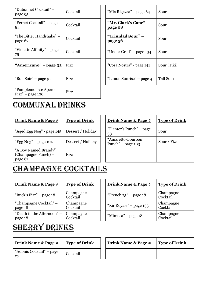| "Dubonnet Cocktail" -<br>page 95                           | Cocktail | "Mia Rigazza" – page 64         | Sour        |
|------------------------------------------------------------|----------|---------------------------------|-------------|
| "Fernet Cocktail" – page<br>84                             | Cocktail | "Mr. Clark's Cane" –<br>page 58 | Sour        |
| "The Bitter Handshake" –<br>page 67                        | Cocktail | "Trinidad Sour" –<br>page 56    | Sour        |
| "Violette Affinity" - page<br>75                           | Cocktail | "Under Grad" – page 134         | Sour        |
| "Americano" – page 32                                      | Fizz     | "Cosa Nostra" - page 141        | Sour (Tiki) |
| "Bon Soir" – page 91                                       | Fizz     | "Limon Sunrise" – page 4        | Tall Sour   |
| "Pamplemousse Aperol"<br>$\text{F}\text{izz}$ " – page 126 | Fizz     |                                 |             |

| Cocktail | "Mia Rigazza" – page 64         | Sour             |
|----------|---------------------------------|------------------|
| Cocktail | "Mr. Clark's Cane" –<br>page 58 | Sour             |
| Cocktail | "Trinidad Sour" –<br>page 56    | Sour             |
| Cocktail | "Under Grad" – page 134         | Sour             |
| Fizz     | "Cosa Nostra" - page 141        | Sour (Tiki)      |
| Fizz     | "Limon Sunrise" – page 4        | <b>Tall Sour</b> |

#### Communal Drinks

| <u>Drink Name &amp; Page #</u>                         | <b>Type of Drink</b> | <u>Drink Name &amp; Page #</u>           | <b>Type of Drink</b> |
|--------------------------------------------------------|----------------------|------------------------------------------|----------------------|
| "Aged Egg Nog" - page 145                              | Dessert / Holiday    | "Planter's Punch" – page<br>33           | Sour                 |
| "Egg $Nog"$ – page 104                                 | Dessert / Holiday    | "Amaretto-Bourbon<br>Punch" $-$ page 103 | Sour / Fizz          |
| "A Boy Named Brandy"<br>(Champagne Punch) –<br>page 61 | Fizz                 |                                          |                      |

| <b>Drink Name &amp; Page #</b>           | <b>Type of Drink</b> |
|------------------------------------------|----------------------|
| "Planter's Punch" – page<br>33           | Sour                 |
| "Amaretto-Bourbon<br>Punch" – page $103$ | Sour / Fizz          |
|                                          |                      |
|                                          |                      |

#### CHAMPAGNE COCKTAILS

| Drink Name & Page #                   | <b>Type of Drink</b>  | Drink Name & Page #     | <b>Type of Drink</b>  |
|---------------------------------------|-----------------------|-------------------------|-----------------------|
| "Buck's Fizz" – page 18               | Champagne<br>Cocktail | "French $75"$ – page 18 | Champagne<br>Cocktail |
| "Champagne Cocktail" –<br>page 18     | Champagne<br>Cocktail | "Kir Royale" – page 133 | Champagne<br>Cocktail |
| "Death in the Afternoon" –<br>page 18 | Champagne<br>Cocktail | "Mimosa" – page $18$    | Champagne<br>Cocktail |

| <b>Type of Drink</b>  | Drink Name & Page #     | <b>Type of Drink</b>  |  |
|-----------------------|-------------------------|-----------------------|--|
| Champagne<br>Cocktail | "French $75"$ – page 18 | Champagne<br>Cocktail |  |
| Champagne<br>Cocktail | "Kir Royale" – page 133 | Champagne<br>Cocktail |  |
| Champagne<br>Cocktail | "Mimosa" – page 18      | Champagne<br>Cocktail |  |

# SHERRY DRINKS

| Drink Name & Page #                            | <b>Type of Drink</b> | Drink Name & Page # | <b>Type of Drink</b> |
|------------------------------------------------|----------------------|---------------------|----------------------|
| "Adonis Cocktail" – page<br>. 2 $\overline{ }$ | Cocktail             |                     |                      |

| Drink Name & Page # | <b>Type of Drink</b> |
|---------------------|----------------------|
|                     |                      |